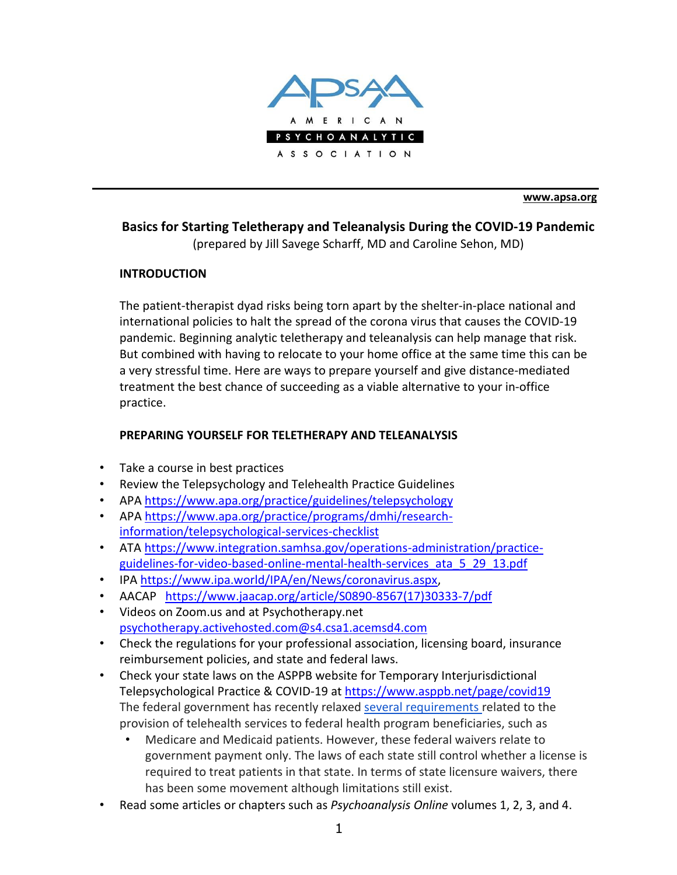

**[www.apsa.org](http://www.apsa.org/)**

# **Basics for Starting Teletherapy and Teleanalysis During the COVID-19 Pandemic**

(prepared by Jill Savege Scharff, MD and Caroline Sehon, MD)

#### **INTRODUCTION**

The patient-therapist dyad risks being torn apart by the shelter-in-place national and international policies to halt the spread of the corona virus that causes the COVID-19 pandemic. Beginning analytic teletherapy and teleanalysis can help manage that risk. But combined with having to relocate to your home office at the same time this can be a very stressful time. Here are ways to prepare yourself and give distance-mediated treatment the best chance of succeeding as a viable alternative to your in-office practice.

#### **PREPARING YOURSELF FOR TELETHERAPY AND TELEANALYSIS**

- Take a course in best practices
- Review the Telepsychology and Telehealth Practice Guidelines
- APA https:/[/www.apa.org/practice/guidelines/telepsychology](http://www.apa.org/practice/guidelines/telepsychology)
- APA https:/[/www.apa.org/practice/programs/dmhi/research](http://www.apa.org/practice/programs/dmhi/research-)information/telepsychological-services-checklist
- ATA https:/[/www.integration.samhsa.gov/operations-administration/practice](http://www.integration.samhsa.gov/operations-administration/practice-)guidelines-for-video-based-online-mental-health-services\_ata\_5\_29\_13.pdf
- IPA https:/[/www.ipa.world/IPA/en/News/coronavirus.aspx,](http://www.ipa.world/IPA/en/News/coronavirus.aspx)
- AACAP https:/[/www.jaacap.org/article/S0890-8567\(17\)30333-7/pdf](http://www.jaacap.org/article/S0890-8567(17)30333-7/pdf)
- Videos on Zoom.us and at Psychotherapy.net [psychotherapy.activehosted.com@s4.csa1.acemsd4.com](mailto:psychotherapy.activehosted.com@s4.csa1.acemsd4.com)
- Check the regulations for your professional association, licensing board, insurance reimbursement policies, and state and federal laws.
- Check your state laws on the ASPPB website for Temporary Interjurisdictional Telepsychological Practice & COVID-19 at https:/[/www.asppb.net/page/covid19](http://www.asppb.net/page/covid19) The federal government has recently relaxed several requirements related to the provision of telehealth services to federal health program beneficiaries, such as
	- Medicare and Medicaid patients. However, these federal waivers relate to government payment only. The laws of each state still control whether a license is required to treat patients in that state. In terms of state licensure waivers, there has been some movement although limitations still exist.
- Read some articles or chapters such as *Psychoanalysis Online* volumes 1, 2, 3, and 4.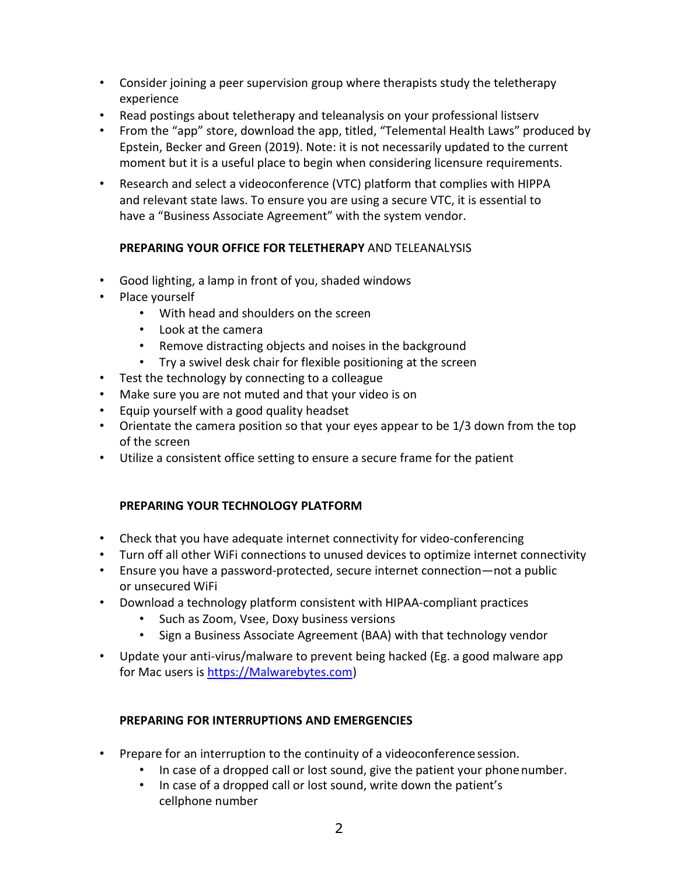- Consider joining a peer supervision group where therapists study the teletherapy experience
- Read postings about teletherapy and teleanalysis on your professional listserv
- From the "app" store, download the app, titled, "Telemental Health Laws" produced by Epstein, Becker and Green (2019). Note: it is not necessarily updated to the current moment but it is a useful place to begin when considering licensure requirements.
- Research and select a videoconference (VTC) platform that complies with HIPPA and relevant state laws. To ensure you are using a secure VTC, it is essential to have a "Business Associate Agreement" with the system vendor.

## **PREPARING YOUR OFFICE FOR TELETHERAPY** AND TELEANALYSIS

- Good lighting, a lamp in front of you, shaded windows
- Place yourself
	- With head and shoulders on the screen
	- Look at the camera
	- Remove distracting objects and noises in the background
	- Try a swivel desk chair for flexible positioning at the screen
- Test the technology by connecting to a colleague
- Make sure you are not muted and that your video is on
- Equip yourself with a good quality headset
- Orientate the camera position so that your eyes appear to be 1/3 down from the top of the screen
- Utilize a consistent office setting to ensure a secure frame for the patient

#### **PREPARING YOUR TECHNOLOGY PLATFORM**

- Check that you have adequate internet connectivity for video-conferencing
- Turn off all other WiFi connections to unused devices to optimize internet connectivity
- Ensure you have a password-protected, secure internet connection—not a public or unsecured WiFi
- Download a technology platform consistent with HIPAA-compliant practices
	- Such as Zoom, Vsee, Doxy business versions
	- Sign a Business Associate Agreement (BAA) with that technology vendor
- Update your anti-virus/malware to prevent being hacked (Eg. a good malware app for Mac users is https://Malwarebytes.com)

# **PREPARING FOR INTERRUPTIONS AND EMERGENCIES**

- Prepare for an interruption to the continuity of a videoconference session.
	- In case of a dropped call or lost sound, give the patient your phonenumber.
	- In case of a dropped call or lost sound, write down the patient's cellphone number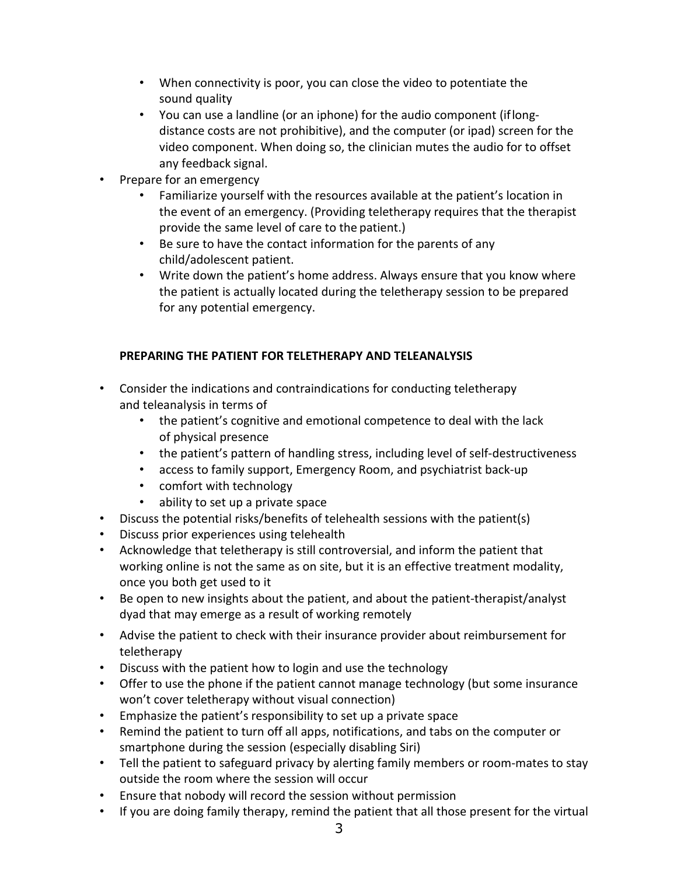- When connectivity is poor, you can close the video to potentiate the sound quality
- You can use a landline (or an iphone) for the audio component (iflongdistance costs are not prohibitive), and the computer (or ipad) screen for the video component. When doing so, the clinician mutes the audio for to offset any feedback signal.
- Prepare for an emergency
	- Familiarize yourself with the resources available at the patient's location in the event of an emergency. (Providing teletherapy requires that the therapist provide the same level of care to the patient.)
	- Be sure to have the contact information for the parents of any child/adolescent patient.
	- Write down the patient's home address. Always ensure that you know where the patient is actually located during the teletherapy session to be prepared for any potential emergency.

# **PREPARING THE PATIENT FOR TELETHERAPY AND TELEANALYSIS**

- Consider the indications and contraindications for conducting teletherapy and teleanalysis in terms of
	- the patient's cognitive and emotional competence to deal with the lack of physical presence
	- the patient's pattern of handling stress, including level of self-destructiveness
	- access to family support, Emergency Room, and psychiatrist back-up
	- comfort with technology
	- ability to set up a private space
- Discuss the potential risks/benefits of telehealth sessions with the patient(s)
- Discuss prior experiences using telehealth
- Acknowledge that teletherapy is still controversial, and inform the patient that working online is not the same as on site, but it is an effective treatment modality, once you both get used to it
- Be open to new insights about the patient, and about the patient-therapist/analyst dyad that may emerge as a result of working remotely
- Advise the patient to check with their insurance provider about reimbursement for teletherapy
- Discuss with the patient how to login and use the technology
- Offer to use the phone if the patient cannot manage technology (but some insurance won't cover teletherapy without visual connection)
- Emphasize the patient's responsibility to set up a private space
- Remind the patient to turn off all apps, notifications, and tabs on the computer or smartphone during the session (especially disabling Siri)
- Tell the patient to safeguard privacy by alerting family members or room-mates to stay outside the room where the session will occur
- Ensure that nobody will record the session without permission
- If you are doing family therapy, remind the patient that all those present for the virtual